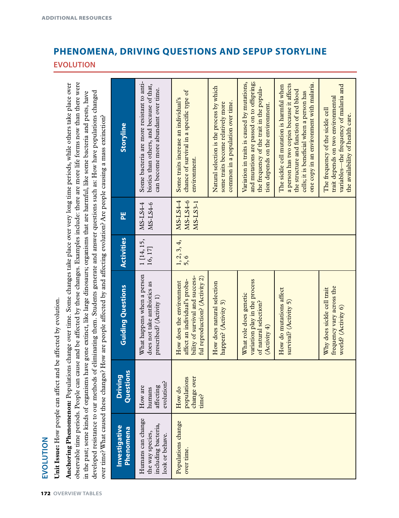# EVOLUTION **EVOLUTION**

Unit Issue: How people can affect and be affected by evolution. **Unit Issue:** How people can affect and be affected by evolution.

observable time periods. People can cause and be affected by these changes. Examples include: there are more life forms now than there were **Anchoring Phenomenon:** Populations change over time. Some changes take place over very long time periods, while others take place over observable time periods. People can cause and be affected by these changes. Examples include: there are more life forms now than there were Anchoring Phenomenon: Populations change over time. Some changes take place over very long time periods, while others take place over developed resistance to our methods of eliminating them. Students generate and answer questions such as: How have populations changed in the past; some kinds of organisms have gone extinct, like large dinosaurs; organisms that are harmful, like some bacteria and pests, have in the past; some kinds of organisms have gone extinct, like large dinosaurs; organisms that are harmful, like some bacteria and pests, have developed resistance to our methods of eliminating them. Students generate and answer questions such as: How have populations changed over time? What caused these changes? How are people affected by and affecting evolution? Are people causing a mass extinction? over time? What caused these changes? How are people affected by and affecting evolution? Are people causing a mass extinction?

| Investigative<br>Phenomena                                                      | Question<br><b>Driving</b>                    | <b>Guiding Questions</b>                                                                                                       | <b>Activities</b>     | 븬                                | Storyline                                                                                                                                                                                                                  |
|---------------------------------------------------------------------------------|-----------------------------------------------|--------------------------------------------------------------------------------------------------------------------------------|-----------------------|----------------------------------|----------------------------------------------------------------------------------------------------------------------------------------------------------------------------------------------------------------------------|
| Humans can change<br>including bacteria,<br>the way species,<br>look or behave. | evolution?<br>affecting<br>How are<br>humans  | What happens when a person<br>does not take antibiotics as<br>prescribed? (Activity 1)                                         | 1 [14, 15,<br>16, 17] | MS-LS4-6<br>MS-LS4-4             | Some bacteria are more resistant to anti-<br>biotics than others, and because of that,<br>can become more abundant over time.                                                                                              |
| Populations change<br>over time.                                                | change over<br>populations<br>How do<br>time? | ful reproduction? (Activity 2)<br>bility of survival and success-<br>affect an individual's proba-<br>How does the environment | 1, 2, 3, 4,<br>5,6    | MS-LS4-6<br>MS-LS4-4<br>MS-LS3-1 | chance of survival in a specific type of<br>Some traits increase an individual's<br>environment.                                                                                                                           |
|                                                                                 |                                               | How does natural selection<br>happen? (Activity 3)                                                                             |                       |                                  | Natural selection is the process by which<br>common in a population over time.<br>some traits become relatively more                                                                                                       |
|                                                                                 |                                               | variation play in the process<br>What role does genetic<br>of natural selection?<br>(Activity 4)                               |                       |                                  | and mutations are passed on to offspring;<br>Variation in traits is caused by mutations,<br>the frequency of the trait in the popula-<br>tion depends on the environment.                                                  |
|                                                                                 |                                               | How do mutations affect<br>survival? (Activity 5)                                                                              |                       |                                  | one copy in an environment with malaria.<br>a person has two copies because it affects<br>The sickle cell mutation is harmful when<br>the structure and function of red blood<br>cells; it is beneficial when a person has |
|                                                                                 |                                               | frequency vary across the<br>Why does sickle cell trait<br>world? (Activity 6)                                                 |                       |                                  | variables—the frequency of malaria and<br>trait depends on two environmental<br>The frequency of the sickle cell<br>the availability of health care.                                                                       |

### **PHENOMENA, DRIVING QUESTIONS AND SEPUP STORYLINE EVOLUTION**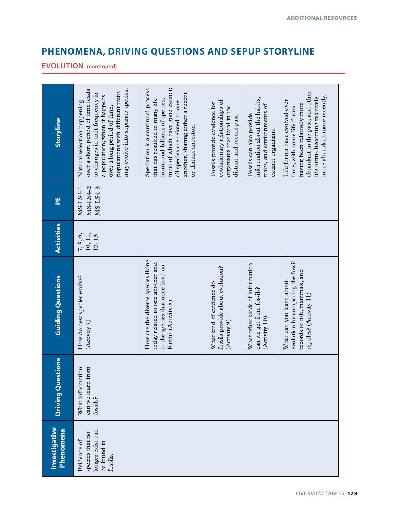## **PHENOMENA, DRIVING QUESTIONS AND SEPUP STORYLINE**

#### **EVOLUTION (continued)**

| Storyline                         | over a short period of time leads<br>may evolve into separate species.<br>populations with different traits<br>to changes in trait frequency in<br>a population; when it happens<br>Natural selection happening<br>over a long period of time, | most of which have gone extinct;<br>Speciation is a continual process<br>another, sharing either a recent<br>forms and billions of species,<br>that has resulted in many life<br>all species are related to one<br>or distant ancestor. | evolutionary relationships of<br>Fossils provide evidence for<br>organisms that lived in the<br>distant and recent past. | information about the habits,<br>traits, and environments of<br>Fossils can also provide<br>extinct organisms. | abundant in the past, and other<br>more abundant more recently.<br>life forms becoming relatively<br>Life forms have evolved over<br>having been relatively more<br>time, with some life forms |
|-----------------------------------|------------------------------------------------------------------------------------------------------------------------------------------------------------------------------------------------------------------------------------------------|-----------------------------------------------------------------------------------------------------------------------------------------------------------------------------------------------------------------------------------------|--------------------------------------------------------------------------------------------------------------------------|----------------------------------------------------------------------------------------------------------------|------------------------------------------------------------------------------------------------------------------------------------------------------------------------------------------------|
| 븬                                 | MS-LS4-3<br>MS-LS4-2<br>MS-LS4-1                                                                                                                                                                                                               |                                                                                                                                                                                                                                         |                                                                                                                          |                                                                                                                |                                                                                                                                                                                                |
| <b>Activities</b>                 | 10, 11,<br>7, 8, 9,<br>12, 13                                                                                                                                                                                                                  |                                                                                                                                                                                                                                         |                                                                                                                          |                                                                                                                |                                                                                                                                                                                                |
| <b>Guiding Questions</b>          | How do new species evolve?<br>(Activity 7)                                                                                                                                                                                                     | How are the diverse species living<br>today related to one another and<br>to the species that once lived on<br>Earth? (Activity 8)                                                                                                      | fossils provide about evolution?<br>What kind of evidence do<br>(Activity 9)                                             | What other kinds of information<br>can we get from fossils?<br>(Activity 10)                                   | evolution by comparing the fossil<br>records of fish, mammals, and<br>What can you learn about<br>reptiles? (Activity 11)                                                                      |
| <b>Driving Questions</b>          | What information<br>can we learn from<br>fossils?                                                                                                                                                                                              |                                                                                                                                                                                                                                         |                                                                                                                          |                                                                                                                |                                                                                                                                                                                                |
| Investigative<br><b>Phenomena</b> | longer exist can<br>species that no<br>Evidence of<br>be found in<br>fossils.                                                                                                                                                                  |                                                                                                                                                                                                                                         |                                                                                                                          |                                                                                                                |                                                                                                                                                                                                |